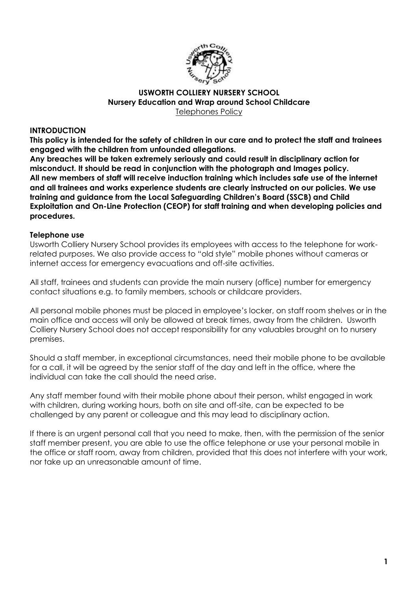

#### **USWORTH COLLIERY NURSERY SCHOOL Nursery Education and Wrap around School Childcare** Telephones Policy

#### **INTRODUCTION**

**This policy is intended for the safety of children in our care and to protect the staff and trainees engaged with the children from unfounded allegations.** 

**Any breaches will be taken extremely seriously and could result in disciplinary action for misconduct. It should be read in conjunction with the photograph and Images policy. All new members of staff will receive induction training which includes safe use of the internet and all trainees and works experience students are clearly instructed on our policies. We use training and guidance from the Local Safeguarding Children's Board (SSCB) and Child Exploitation and On-Line Protection (CEOP) for staff training and when developing policies and procedures.** 

#### **Telephone use**

Usworth Colliery Nursery School provides its employees with access to the telephone for workrelated purposes. We also provide access to "old style" mobile phones without cameras or internet access for emergency evacuations and off-site activities.

All staff, trainees and students can provide the main nursery (office) number for emergency contact situations e.g. to family members, schools or childcare providers.

All personal mobile phones must be placed in employee's locker, on staff room shelves or in the main office and access will only be allowed at break times, away from the children. Usworth Colliery Nursery School does not accept responsibility for any valuables brought on to nursery premises.

Should a staff member, in exceptional circumstances, need their mobile phone to be available for a call, it will be agreed by the senior staff of the day and left in the office, where the individual can take the call should the need arise.

Any staff member found with their mobile phone about their person, whilst engaged in work with children, during working hours, both on site and off-site, can be expected to be challenged by any parent or colleague and this may lead to disciplinary action.

If there is an urgent personal call that you need to make, then, with the permission of the senior staff member present, you are able to use the office telephone or use your personal mobile in the office or staff room, away from children, provided that this does not interfere with your work, nor take up an unreasonable amount of time.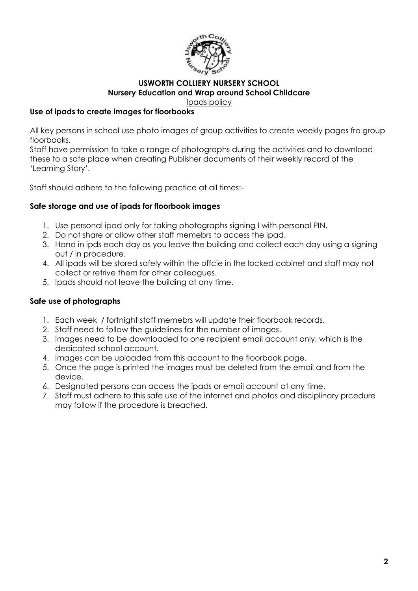

# **USWORTH COLLIERY NURSERY SCHOOL Nursery Education and Wrap around School Childcare**

Ipads policy

### **Use of ipads to create images for floorbooks**

All key persons in school use photo images of group activities to create weekly pages fro group floorbooks.

Staff have permission to take a range of photographs during the activities and to download these to a safe place when creating Publisher documents of their weekly record of the 'Learning Story'.

Staff should adhere to the following practice at all times:-

### **Safe storage and use of ipads for floorbook images**

- 1. Use personal ipad only for taking photographs signing I with personal PIN.
- 2. Do not share or allow other staff memebrs to access the ipad.
- 3. Hand in ipds each day as you leave the building and collect each day using a signing out / in procedure.
- 4. All ipads will be stored safely within the offcie in the locked cabinet and staff may not collect or retrive them for other colleagues.
- 5. Ipads should not leave the building at any time.

## **Safe use of photographs**

- 1. Each week / fortnight staff memebrs will update their floorbook records.
- 2. Staff need to follow the guidelines for the number of images.
- 3. Images need to be downloaded to one recipient email account only, which is the dedicated school account.
- 4. Images can be uploaded from this account to the floorbook page.
- 5. Once the page is printed the images must be deleted from the email and from the device.
- 6. Designated persons can access the ipads or email account at any time.
- 7. Staff must adhere to this safe use of the internet and photos and disciplinary prcedure may follow if the procedure is breached.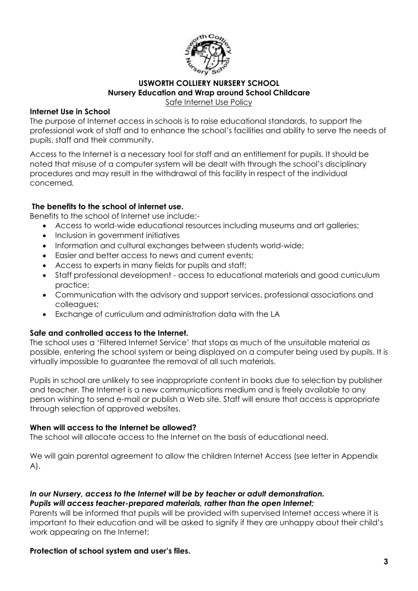

### **USWORTH COLLIERY NURSERY SCHOOL Nursery Education and Wrap around School Childcare** Safe Internet Use Policy

### **Internet Use in School**

The purpose of Internet access in schools is to raise educational standards, to support the professional work of staff and to enhance the school's facilities and ability to serve the needs of pupils, staff and their community.

Access to the Internet is a necessary tool for staff and an entitlement for pupils. It should be noted that misuse of a computer system will be dealt with through the school's disciplinary procedures and may result in the withdrawal of this facility in respect of the individual concerned*.* 

### **The benefits to the school of internet use.**

Benefits to the school of Internet use include:-

- Access to world-wide educational resources including museums and art galleries;
- Inclusion in government initiatives
- Information and cultural exchanges between students world-wide;
- Easier and better access to news and current events;
- Access to experts in many fields for pupils and staff;
- Staff professional development access to educational materials and good curriculum practice;
- Communication with the advisory and support services, professional associations and colleagues;
- Exchange of curriculum and administration data with the LA

### **Safe and controlled access to the Internet.**

The school uses a 'Filtered Internet Service' that stops as much of the unsuitable material as possible, entering the school system or being displayed on a computer being used by pupils. It is virtually impossible to guarantee the removal of all such materials.

Pupils in school are unlikely to see inappropriate content in books due to selection by publisher and teacher. The Internet is a new communications medium and is freely available to any person wishing to send e-mail or publish a Web site. Staff will ensure that access is appropriate through selection of approved websites.

### **When will access to the Internet be allowed?**

The school will allocate access to the Internet on the basis of educational need.

We will gain parental agreement to allow the children Internet Access (see letter in Appendix A).

#### *In our Nursery, access to the Internet will be by teacher or adult demonstration. Pupils will access teacher-prepared materials, rather than the open Internet;*

Parents will be informed that pupils will be provided with supervised Internet access where it is important to their education and will be asked to signify if they are unhappy about their child's work appearing on the Internet;

### **Protection of school system and user's files.**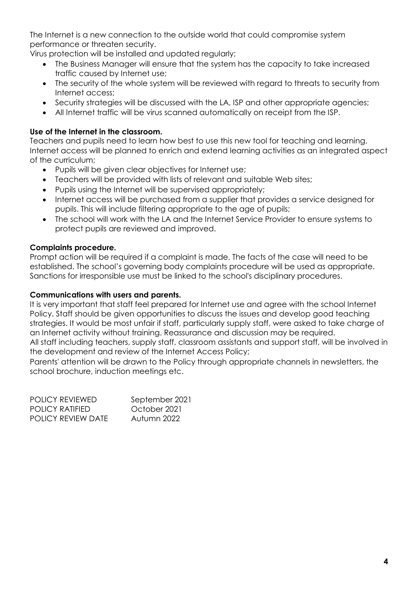The Internet is a new connection to the outside world that could compromise system performance or threaten security.

Virus protection will be installed and updated regularly;

- The Business Manager will ensure that the system has the capacity to take increased traffic caused by Internet use;
- The security of the whole system will be reviewed with regard to threats to security from Internet access;
- Security strategies will be discussed with the LA, ISP and other appropriate agencies;
- All Internet traffic will be virus scanned automatically on receipt from the ISP.

# **Use of the Internet in the classroom.**

Teachers and pupils need to learn how best to use this new tool for teaching and learning. Internet access will be planned to enrich and extend learning activities as an integrated aspect of the curriculum;

- Pupils will be given clear objectives for Internet use;
- Teachers will be provided with lists of relevant and suitable Web sites;
- Pupils using the Internet will be supervised appropriately;
- Internet access will be purchased from a supplier that provides a service designed for pupils. This will include filtering appropriate to the age of pupils;
- The school will work with the LA and the Internet Service Provider to ensure systems to protect pupils are reviewed and improved.

# **Complaints procedure.**

Prompt action will be required if a complaint is made. The facts of the case will need to be established. The school's governing body complaints procedure will be used as appropriate. Sanctions for irresponsible use must be linked to the school's disciplinary procedures.

### **Communications with users and parents.**

It is very important that staff feel prepared for Internet use and agree with the school Internet Policy. Staff should be given opportunities to discuss the issues and develop good teaching strategies. It would be most unfair if staff, particularly supply staff, were asked to take charge of an Internet activity without training. Reassurance and discussion may be required. All staff including teachers, supply staff, classroom assistants and support staff, will be involved in the development and review of the Internet Access Policy;

Parents' attention will be drawn to the Policy through appropriate channels in newsletters, the school brochure, induction meetings etc.

| POLICY REVIEWED    | September 2021 |
|--------------------|----------------|
| POLICY RATIFIED    | October 2021   |
| POLICY REVIEW DATE | Autumn 2022    |